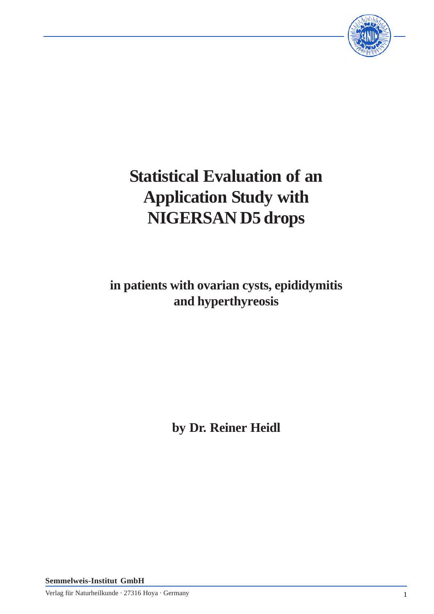

# **Statistical Evaluation of an Application Study with NIGERSAN D5 drops**

**in patients with ovarian cysts, epididymitis and hyperthyreosis**

**by Dr. Reiner Heidl**

**Semmelweis-Institut GmbH**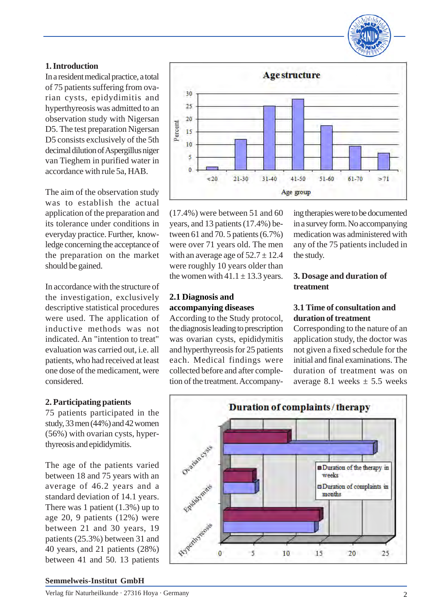

## **1. Introduction**

In a resident medical practice, a total of 75 patients suffering from ovarian cysts, epidydimitis and hyperthyreosis was admitted to an observation study with Nigersan D5. The test preparation Nigersan D5 consists exclusively of the 5th decimal dilution of Aspergillus niger van Tieghem in purified water in accordance with rule 5a, HAB.

The aim of the observation study was to establish the actual application of the preparation and its tolerance under conditions in everyday practice. Further, knowledge concerning the acceptance of the preparation on the market should be gained.

In accordance with the structure of the investigation, exclusively descriptive statistical procedures were used. The application of inductive methods was not indicated. An "intention to treat" evaluation was carried out, i.e. all patients, who had received at least one dose of the medicament, were considered.

## **2. Participating patients**

75 patients participated in the study, 33 men (44%) and 42 women (56%) with ovarian cysts, hyperthyreosis and epididymitis.

The age of the patients varied between 18 and 75 years with an average of 46.2 years and a standard deviation of 14.1 years. There was 1 patient (1.3%) up to age 20, 9 patients (12%) were between 21 and 30 years, 19 patients (25.3%) between 31 and 40 years, and 21 patients (28%) between 41 and 50. 13 patients



(17.4%) were between 51 and 60 years, and 13 patients (17.4%) between 61 and 70. 5 patients (6.7%) were over 71 years old. The men with an average age of  $52.7 \pm 12.4$ were roughly 10 years older than the women with  $41.1 \pm 13.3$  years.

### **2.1 Diagnosis and accompanying diseases**

According to the Study protocol, the diagnosis leading to prescription was ovarian cysts, epididymitis and hyperthyreosis for 25 patients each. Medical findings were collected before and after completion of the treatment. Accompanying therapies were to be documented in a survey form. No accompanying medication was administered with any of the 75 patients included in the study.

## **3. Dosage and duration of treatment**

## **3.1 Time of consultation and duration of treatment**

Corresponding to the nature of an application study, the doctor was not given a fixed schedule for the initial and final examinations. The duration of treatment was on average 8.1 weeks  $\pm$  5.5 weeks



#### **Semmelweis-Institut GmbH**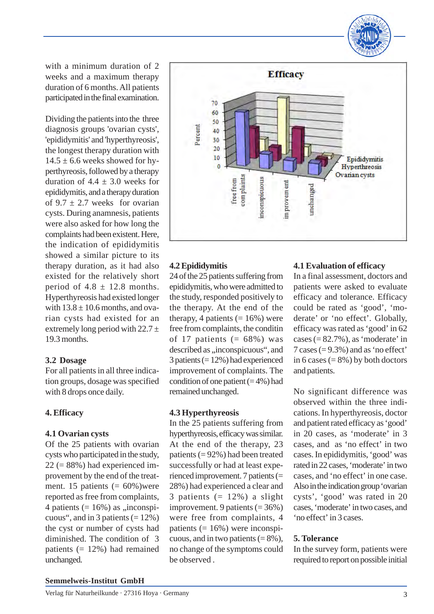

with a minimum duration of 2 weeks and a maximum therapy duration of 6 months. All patients participated in the final examination.

Dividing the patients into the three diagnosis groups 'ovarian cysts', 'epididymitis' and 'hyperthyreosis', the longest therapy duration with  $14.5 \pm 6.6$  weeks showed for hyperthyreosis, followed by a therapy duration of  $4.4 \pm 3.0$  weeks for epididymitis, and a therapy duration of  $9.7 \pm 2.7$  weeks for ovarian cysts. During anamnesis, patients were also asked for how long the complaints had been existent. Here, the indication of epididymitis showed a similar picture to its therapy duration, as it had also existed for the relatively short period of  $4.8 \pm 12.8$  months. Hyperthyreosis had existed longer with  $13.8 \pm 10.6$  months, and ovarian cysts had existed for an extremely long period with  $22.7 \pm$ 19.3 months.

#### **3.2 Dosage**

For all patients in all three indication groups, dosage was specified with 8 drops once daily.

## **4. Efficacy**

#### **4.1 Ovarian cysts**

Of the 25 patients with ovarian cysts who participated in the study,  $22 (= 88\%)$  had experienced improvement by the end of the treatment. 15 patients  $(= 60\%)$ were reported as free from complaints, 4 patients  $(= 16\%)$  as "inconspicuous", and in 3 patients  $(= 12\%)$ the cyst or number of cysts had diminished. The condition of 3 patients (= 12%) had remained unchanged.



## **4.2 Epididymitis**

24 of the 25 patients suffering from epididymitis, who were admitted to the study, responded positively to the therapy. At the end of the therapy, 4 patients  $(= 16\%)$  were free from complaints, the conditin of 17 patients  $(= 68\%)$  was described as "inconspicuous", and 3 patients (= 12%) had experienced improvement of complaints. The condition of one patient  $(= 4\%)$  had remained unchanged.

## **4.3 Hyperthyreosis**

In the 25 patients suffering from hyperthyreosis, efficacy was similar. At the end of the therapy, 23 patients (= 92%) had been treated successfully or had at least experienced improvement. 7 patients (= 28%) had experienced a clear and 3 patients  $(= 12\%)$  a slight improvement. 9 patients  $(=36\%)$ were free from complaints, 4 patients  $(= 16\%)$  were inconspicuous, and in two patients  $( = 8\%)$ , no change of the symptoms could be observed .

### **4.1 Evaluation of efficacy**

In a final assessment, doctors and patients were asked to evaluate efficacy and tolerance. Efficacy could be rated as 'good', 'moderate' or 'no effect'. Globally, efficacy was rated as 'good' in 62 cases  $(= 82.7\%)$ , as 'moderate' in 7 cases  $(= 9.3\%)$  and as 'no effect' in 6 cases  $(= 8\%)$  by both doctors and patients.

No significant difference was observed within the three indications. In hyperthyreosis, doctor and patient rated efficacy as 'good' in 20 cases, as 'moderate' in 3 cases, and as 'no effect' in two cases. In epididymitis, 'good' was rated in 22 cases, 'moderate' in two cases, and 'no effect' in one case. Also in the indication group 'ovarian cysts', 'good' was rated in 20 cases, 'moderate' in two cases, and 'no effect' in 3 cases.

## **5. Tolerance**

In the survey form, patients were required to report on possible initial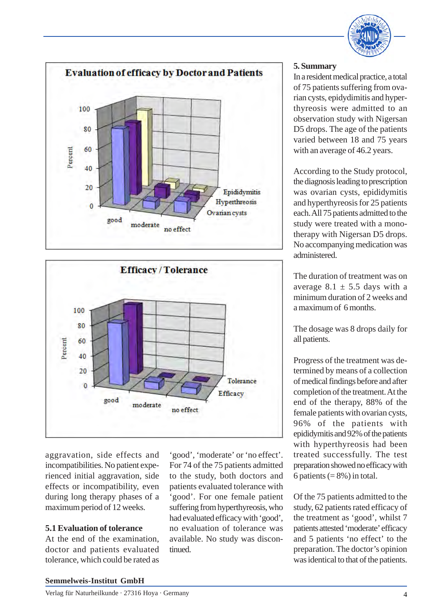





aggravation, side effects and incompatibilities. No patient experienced initial aggravation, side effects or incompatibility, even during long therapy phases of a maximum period of 12 weeks.

#### **5.1 Evaluation of tolerance**

At the end of the examination, doctor and patients evaluated tolerance, which could be rated as

'good', 'moderate' or 'no effect'. For 74 of the 75 patients admitted to the study, both doctors and patients evaluated tolerance with 'good'. For one female patient suffering from hyperthyreosis, who had evaluated efficacy with 'good', no evaluation of tolerance was available. No study was discontinued.

### **5. Summary**

In a resident medical practice, a total of 75 patients suffering from ovarian cysts, epidydimitis and hyperthyreosis were admitted to an observation study with Nigersan D5 drops. The age of the patients varied between 18 and 75 years with an average of 46.2 years.

According to the Study protocol, the diagnosis leading to prescription was ovarian cysts, epididymitis and hyperthyreosis for 25 patients each. All 75 patients admitted to the study were treated with a monotherapy with Nigersan D5 drops. No accompanying medication was administered.

The duration of treatment was on average  $8.1 \pm 5.5$  days with a minimum duration of 2 weeks and a maximum of 6 months.

The dosage was 8 drops daily for all patients.

Progress of the treatment was determined by means of a collection of medical findings before and after completion of the treatment. At the end of the therapy, 88% of the female patients with ovarian cysts, 96% of the patients with epididymitis and 92% of the patients with hyperthyreosis had been treated successfully. The test preparation showed no efficacy with 6 patients  $(= 8\%)$  in total.

Of the 75 patients admitted to the study, 62 patients rated efficacy of the treatment as 'good', whilst 7 patients attested 'moderate' efficacy and 5 patients 'no effect' to the preparation. The doctor's opinion was identical to that of the patients.

#### **Semmelweis-Institut GmbH**